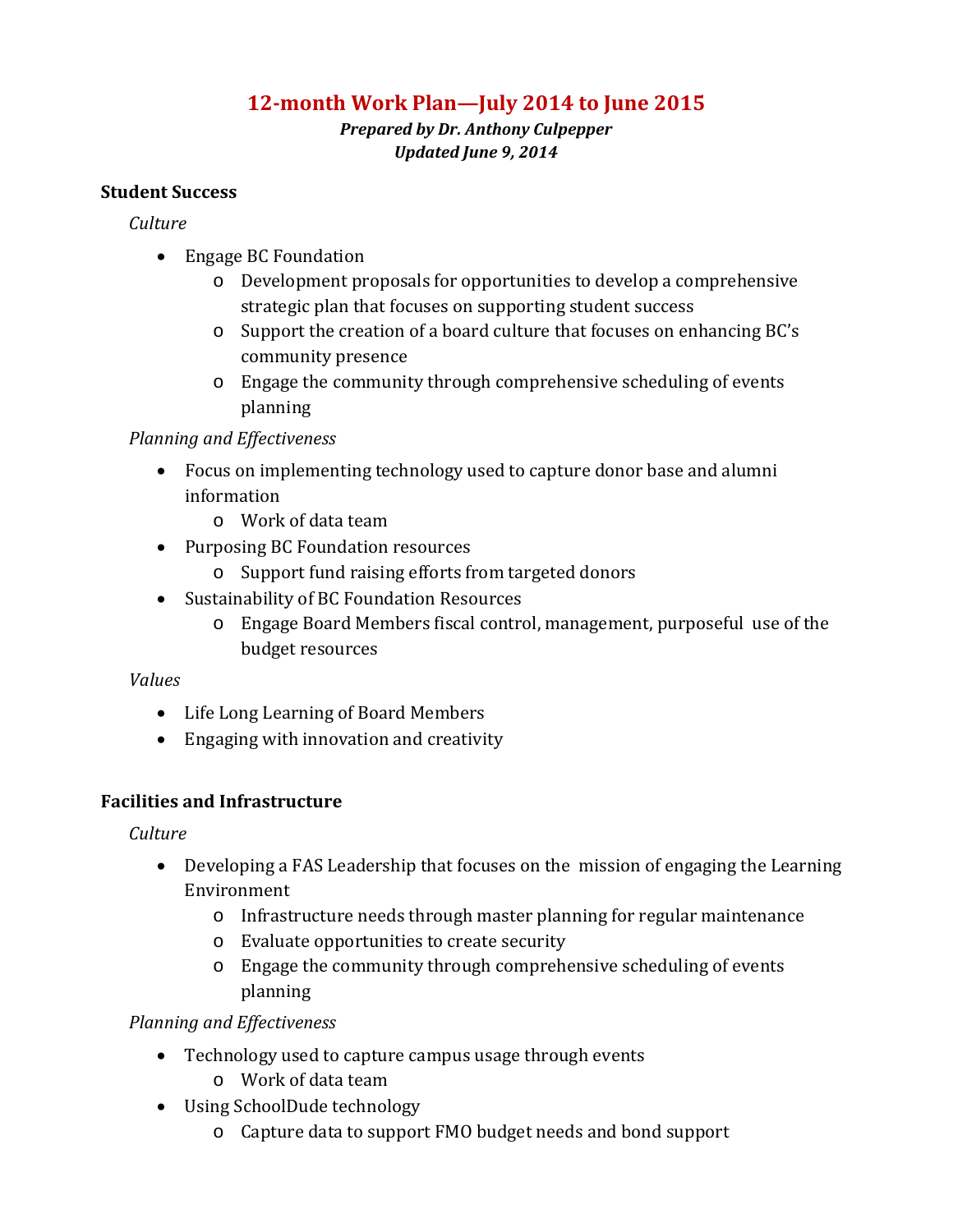# **12-month Work Plan—July 2014 to June 2015**

*Prepared by Dr. Anthony Culpepper Updated June 9, 2014*

### **Student Success**

### *Culture*

- Engage BC Foundation
	- o Development proposals for opportunities to develop a comprehensive strategic plan that focuses on supporting student success
	- o Support the creation of a board culture that focuses on enhancing BC's community presence
	- o Engage the community through comprehensive scheduling of events planning

### *Planning and Effectiveness*

- Focus on implementing technology used to capture donor base and alumni information
	- o Work of data team
- Purposing BC Foundation resources
	- o Support fund raising efforts from targeted donors
- Sustainability of BC Foundation Resources
	- o Engage Board Members fiscal control, management, purposeful use of the budget resources

### *Values*

- Life Long Learning of Board Members
- Engaging with innovation and creativity

### **Facilities and Infrastructure**

*Culture*

- Developing a FAS Leadership that focuses on the mission of engaging the Learning Environment
	- o Infrastructure needs through master planning for regular maintenance
	- o Evaluate opportunities to create security
	- o Engage the community through comprehensive scheduling of events planning

*Planning and Effectiveness*

- Technology used to capture campus usage through events
	- o Work of data team
- Using SchoolDude technology
	- o Capture data to support FMO budget needs and bond support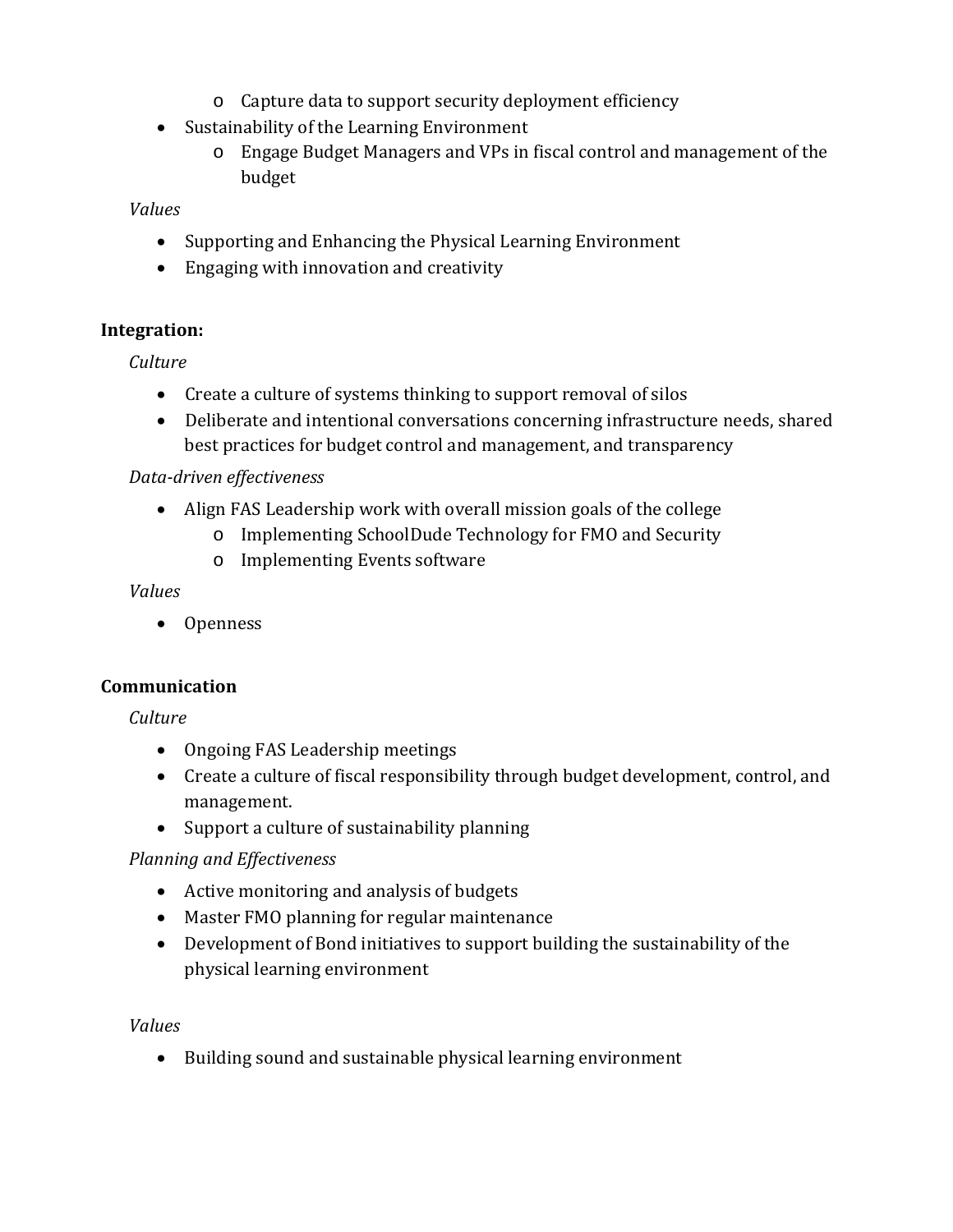- o Capture data to support security deployment efficiency
- Sustainability of the Learning Environment
	- o Engage Budget Managers and VPs in fiscal control and management of the budget

### *Values*

- Supporting and Enhancing the Physical Learning Environment
- Engaging with innovation and creativity

# **Integration:**

*Culture*

- Create a culture of systems thinking to support removal of silos
- Deliberate and intentional conversations concerning infrastructure needs, shared best practices for budget control and management, and transparency

### *Data-driven effectiveness*

- Align FAS Leadership work with overall mission goals of the college
	- o Implementing SchoolDude Technology for FMO and Security
		- o Implementing Events software

### *Values*

• Openness

### **Communication**

*Culture*

- Ongoing FAS Leadership meetings
- Create a culture of fiscal responsibility through budget development, control, and management.
- Support a culture of sustainability planning

# *Planning and Effectiveness*

- Active monitoring and analysis of budgets
- Master FMO planning for regular maintenance
- Development of Bond initiatives to support building the sustainability of the physical learning environment

### *Values*

• Building sound and sustainable physical learning environment